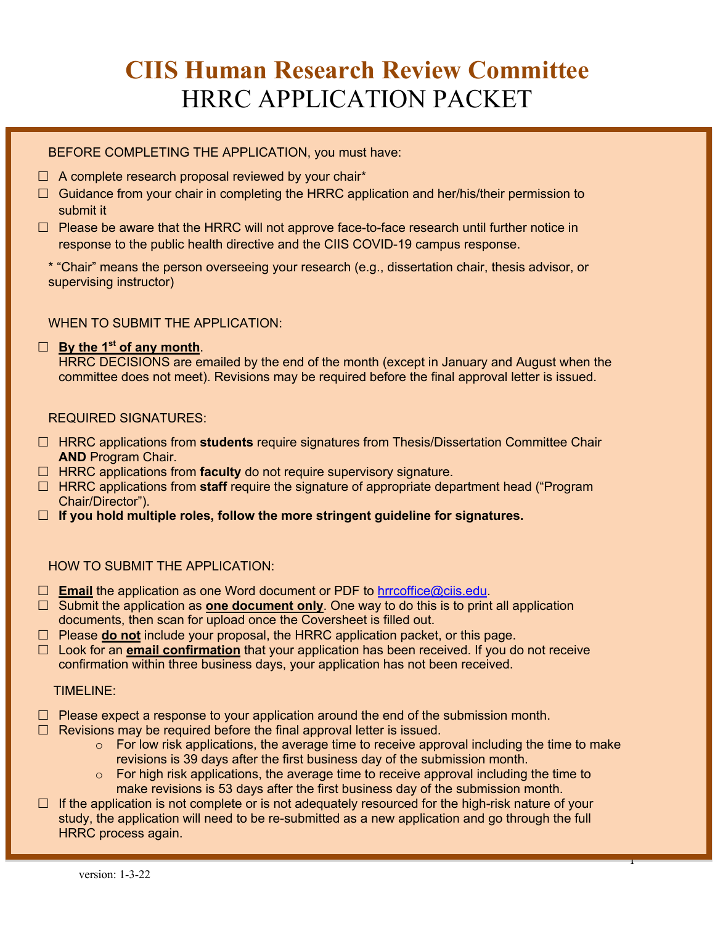# **CIIS Human Research Review Committee** HRRC APPLICATION PACKET

BEFORE COMPLETING THE APPLICATION, you must have:

- $\Box$  A complete research proposal reviewed by your chair\*
- $\Box$  Guidance from your chair in completing the HRRC application and her/his/their permission to submit it
- $\Box$  Please be aware that the HRRC will not approve face-to-face research until further notice in response to the public health directive and the CIIS COVID-19 campus response.
	- \* "Chair" means the person overseeing your research (e.g., dissertation chair, thesis advisor, or supervising instructor)

WHEN TO SUBMIT THE APPLICATION:

#### £ **By the 1st of any month**.

HRRC DECISIONS are emailed by the end of the month (except in January and August when the committee does not meet). Revisions may be required before the final approval letter is issued.

REQUIRED SIGNATURES:

- □ HRRC applications from students require signatures from Thesis/Dissertation Committee Chair **AND** Program Chair.
- □ HRRC applications from **faculty** do not require supervisory signature.
- $\Box$  HRRC applications from **staff** require the signature of appropriate department head ("Program") Chair/Director").
- £ **If you hold multiple roles, follow the more stringent guideline for signatures.**

#### HOW TO SUBMIT THE APPLICATION:

- □ **Email** the application as one Word document or PDF to hrrcoffice@ciis.edu.
- □ Submit the application as **one document only**. One way to do this is to print all application documents, then scan for upload once the Coversheet is filled out.
- £ Please **do not** include your proposal, the HRRC application packet, or this page.
- □ Look for an **email confirmation** that your application has been received. If you do not receive confirmation within three business days, your application has not been received.

#### TIMELINE:

- $\Box$  Please expect a response to your application around the end of the submission month.
- $\Box$  Revisions may be required before the final approval letter is issued.
	- $\circ$  For low risk applications, the average time to receive approval including the time to make revisions is 39 days after the first business day of the submission month.
	- o For high risk applications, the average time to receive approval including the time to make revisions is 53 days after the first business day of the submission month.
- $\Box$  If the application is not complete or is not adequately resourced for the high-risk nature of your study, the application will need to be re-submitted as a new application and go through the full HRRC process again.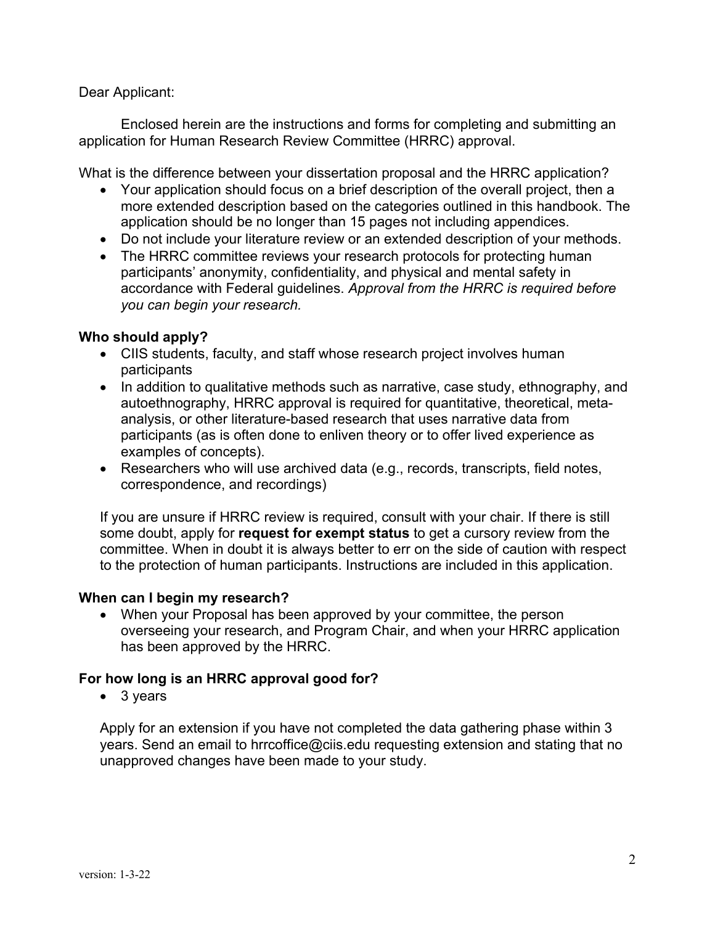#### Dear Applicant:

Enclosed herein are the instructions and forms for completing and submitting an application for Human Research Review Committee (HRRC) approval.

What is the difference between your dissertation proposal and the HRRC application?

- Your application should focus on a brief description of the overall project, then a more extended description based on the categories outlined in this handbook. The application should be no longer than 15 pages not including appendices.
- Do not include your literature review or an extended description of your methods.
- The HRRC committee reviews your research protocols for protecting human participants' anonymity, confidentiality, and physical and mental safety in accordance with Federal guidelines. *Approval from the HRRC is required before you can begin your research.*

#### **Who should apply?**

- CIIS students, faculty, and staff whose research project involves human participants
- In addition to qualitative methods such as narrative, case study, ethnography, and autoethnography, HRRC approval is required for quantitative, theoretical, metaanalysis, or other literature-based research that uses narrative data from participants (as is often done to enliven theory or to offer lived experience as examples of concepts).
- Researchers who will use archived data (e.g., records, transcripts, field notes, correspondence, and recordings)

If you are unsure if HRRC review is required, consult with your chair. If there is still some doubt, apply for **request for exempt status** to get a cursory review from the committee. When in doubt it is always better to err on the side of caution with respect to the protection of human participants. Instructions are included in this application.

#### **When can I begin my research?**

• When your Proposal has been approved by your committee, the person overseeing your research, and Program Chair, and when your HRRC application has been approved by the HRRC.

#### **For how long is an HRRC approval good for?**

• 3 years

Apply for an extension if you have not completed the data gathering phase within 3 years. Send an email to hrrcoffice@ciis.edu requesting extension and stating that no unapproved changes have been made to your study.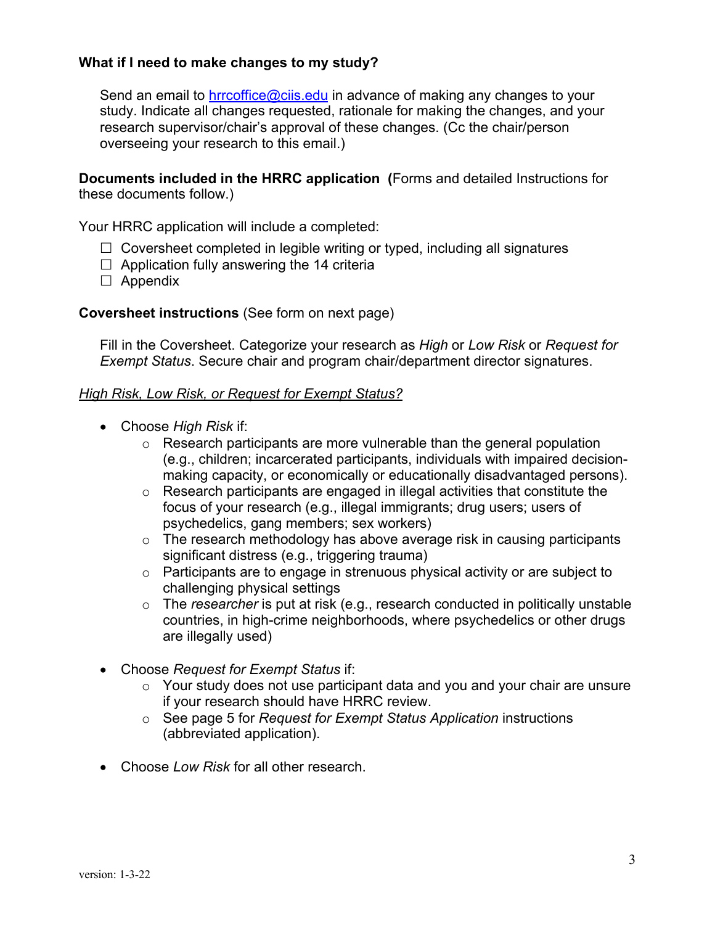## **What if I need to make changes to my study?**

Send an email to hrrcoffice@ciis.edu in advance of making any changes to your study. Indicate all changes requested, rationale for making the changes, and your research supervisor/chair's approval of these changes. (Cc the chair/person overseeing your research to this email.)

**Documents included in the HRRC application (**Forms and detailed Instructions for these documents follow.)

Your HRRC application will include a completed:

- $\Box$  Coversheet completed in legible writing or typed, including all signatures
- $\Box$  Application fully answering the 14 criteria
- $\square$  Appendix

#### **Coversheet instructions** (See form on next page)

Fill in the Coversheet. Categorize your research as *High* or *Low Risk* or *Request for Exempt Status*. Secure chair and program chair/department director signatures.

#### *High Risk, Low Risk, or Request for Exempt Status?*

- Choose *High Risk* if:
	- o Research participants are more vulnerable than the general population (e.g., children; incarcerated participants, individuals with impaired decisionmaking capacity, or economically or educationally disadvantaged persons).
	- o Research participants are engaged in illegal activities that constitute the focus of your research (e.g., illegal immigrants; drug users; users of psychedelics, gang members; sex workers)
	- o The research methodology has above average risk in causing participants significant distress (e.g., triggering trauma)
	- o Participants are to engage in strenuous physical activity or are subject to challenging physical settings
	- o The *researcher* is put at risk (e.g., research conducted in politically unstable countries, in high-crime neighborhoods, where psychedelics or other drugs are illegally used)
- Choose *Request for Exempt Status* if:
	- o Your study does not use participant data and you and your chair are unsure if your research should have HRRC review.
	- o See page 5 for *Request for Exempt Status Application* instructions (abbreviated application).
- Choose *Low Risk* for all other research.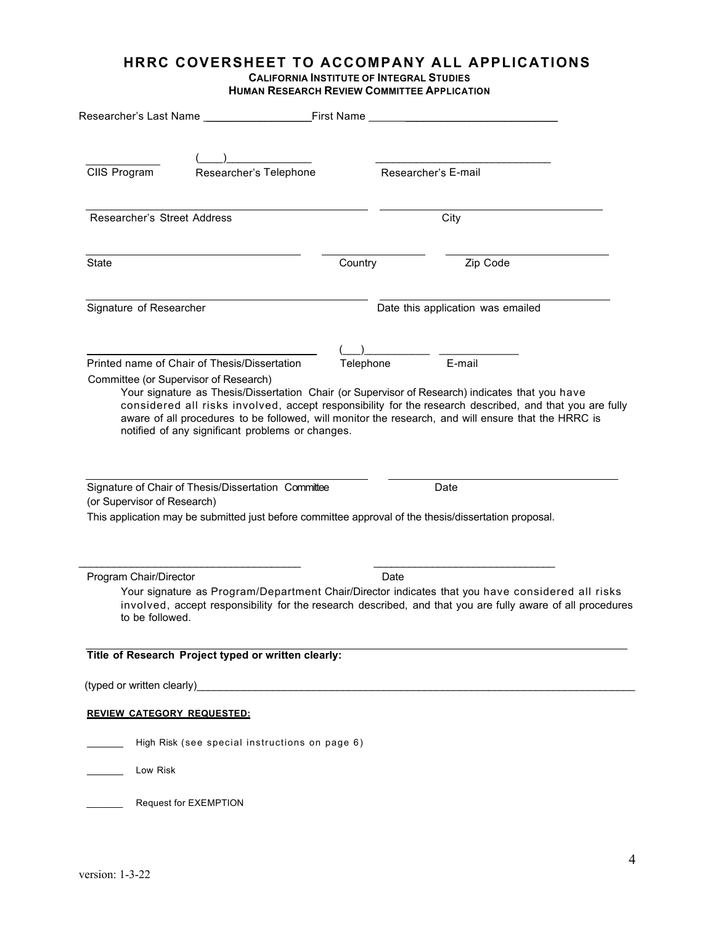#### **HRRC COVERSHEET TO ACCOMPANY ALL APPLICATIONS CALIFORNIA INSTITUTE OF INTEGRAL STUDIES**

**HUMAN RESEARCH REVIEW COMMITTEE APPLICATION**

|                                           | Researcher's Last Name                                                                                                                                       | _First Name __ |                                                                                                                                                                                                                                                                                                                             |  |
|-------------------------------------------|--------------------------------------------------------------------------------------------------------------------------------------------------------------|----------------|-----------------------------------------------------------------------------------------------------------------------------------------------------------------------------------------------------------------------------------------------------------------------------------------------------------------------------|--|
| CIIS Program                              | Researcher's Telephone                                                                                                                                       |                | Researcher's E-mail                                                                                                                                                                                                                                                                                                         |  |
| Researcher's Street Address               |                                                                                                                                                              |                | City                                                                                                                                                                                                                                                                                                                        |  |
| State                                     |                                                                                                                                                              | Country        | Zip Code                                                                                                                                                                                                                                                                                                                    |  |
| Signature of Researcher                   |                                                                                                                                                              |                | Date this application was emailed                                                                                                                                                                                                                                                                                           |  |
|                                           | Printed name of Chair of Thesis/Dissertation<br>Committee (or Supervisor of Research)<br>notified of any significant problems or changes.                    | Telephone      | E-mail<br>Your signature as Thesis/Dissertation Chair (or Supervisor of Research) indicates that you have<br>considered all risks involved, accept responsibility for the research described, and that you are fully<br>aware of all procedures to be followed, will monitor the research, and will ensure that the HRRC is |  |
| (or Supervisor of Research)               | Signature of Chair of Thesis/Dissertation Committee<br>This application may be submitted just before committee approval of the thesis/dissertation proposal. |                | Date                                                                                                                                                                                                                                                                                                                        |  |
| Program Chair/Director<br>to be followed. |                                                                                                                                                              | Date           | Your signature as Program/Department Chair/Director indicates that you have considered all risks<br>involved, accept responsibility for the research described, and that you are fully aware of all procedures                                                                                                              |  |
|                                           | Title of Research Project typed or written clearly:                                                                                                          |                |                                                                                                                                                                                                                                                                                                                             |  |
|                                           |                                                                                                                                                              |                |                                                                                                                                                                                                                                                                                                                             |  |
| <b>REVIEW CATEGORY REQUESTED:</b>         |                                                                                                                                                              |                |                                                                                                                                                                                                                                                                                                                             |  |
|                                           | High Risk (see special instructions on page 6)                                                                                                               |                |                                                                                                                                                                                                                                                                                                                             |  |
| Low Risk                                  |                                                                                                                                                              |                |                                                                                                                                                                                                                                                                                                                             |  |
|                                           | Request for EXEMPTION                                                                                                                                        |                |                                                                                                                                                                                                                                                                                                                             |  |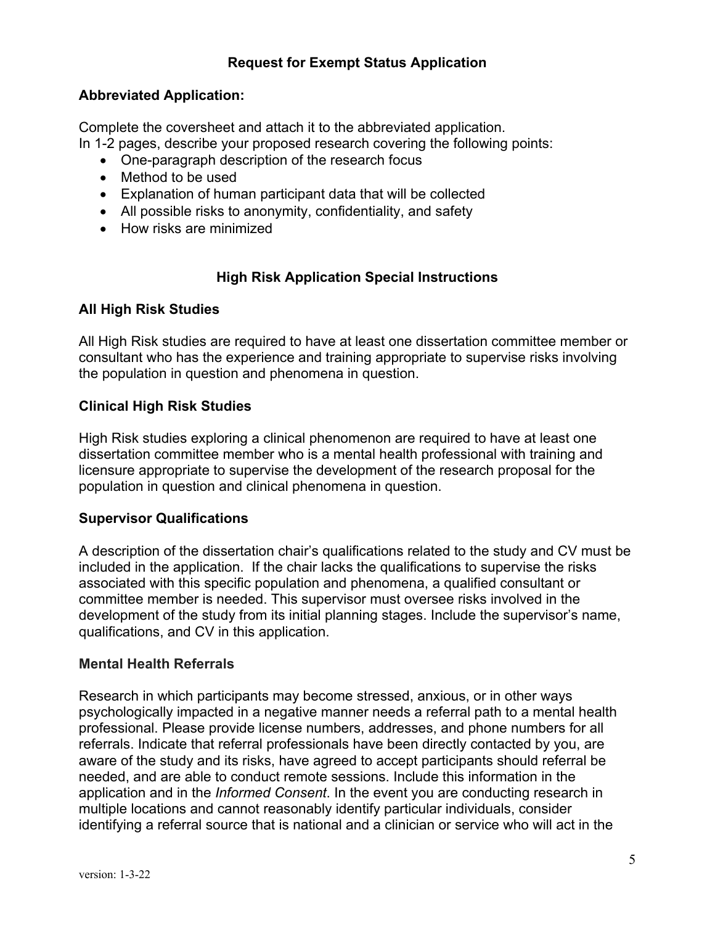# **Request for Exempt Status Application**

## **Abbreviated Application:**

Complete the coversheet and attach it to the abbreviated application.

In 1-2 pages, describe your proposed research covering the following points:

- One-paragraph description of the research focus
- Method to be used
- Explanation of human participant data that will be collected
- All possible risks to anonymity, confidentiality, and safety
- How risks are minimized

# **High Risk Application Special Instructions**

## **All High Risk Studies**

All High Risk studies are required to have at least one dissertation committee member or consultant who has the experience and training appropriate to supervise risks involving the population in question and phenomena in question.

## **Clinical High Risk Studies**

High Risk studies exploring a clinical phenomenon are required to have at least one dissertation committee member who is a mental health professional with training and licensure appropriate to supervise the development of the research proposal for the population in question and clinical phenomena in question.

## **Supervisor Qualifications**

A description of the dissertation chair's qualifications related to the study and CV must be included in the application. If the chair lacks the qualifications to supervise the risks associated with this specific population and phenomena, a qualified consultant or committee member is needed. This supervisor must oversee risks involved in the development of the study from its initial planning stages. Include the supervisor's name, qualifications, and CV in this application.

## **Mental Health Referrals**

Research in which participants may become stressed, anxious, or in other ways psychologically impacted in a negative manner needs a referral path to a mental health professional. Please provide license numbers, addresses, and phone numbers for all referrals. Indicate that referral professionals have been directly contacted by you, are aware of the study and its risks, have agreed to accept participants should referral be needed, and are able to conduct remote sessions. Include this information in the application and in the *Informed Consent*. In the event you are conducting research in multiple locations and cannot reasonably identify particular individuals, consider identifying a referral source that is national and a clinician or service who will act in the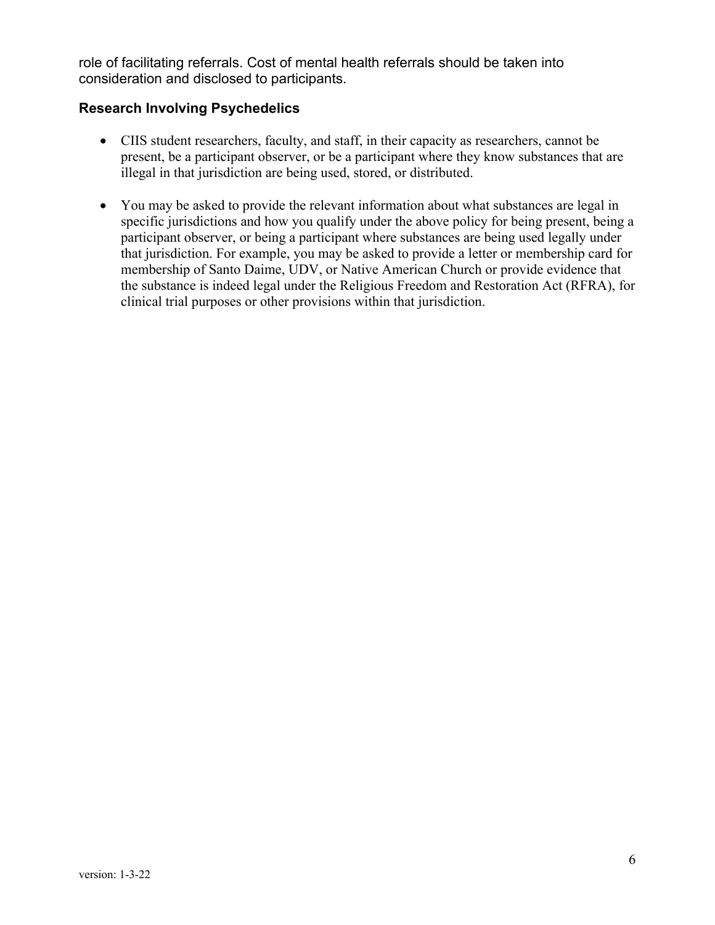role of facilitating referrals. Cost of mental health referrals should be taken into consideration and disclosed to participants.

### **Research Involving Psychedelics**

- CIIS student researchers, faculty, and staff, in their capacity as researchers, cannot be present, be a participant observer, or be a participant where they know substances that are illegal in that jurisdiction are being used, stored, or distributed.
- You may be asked to provide the relevant information about what substances are legal in specific jurisdictions and how you qualify under the above policy for being present, being a participant observer, or being a participant where substances are being used legally under that jurisdiction. For example, you may be asked to provide a letter or membership card for membership of Santo Daime, UDV, or Native American Church or provide evidence that the substance is indeed legal under the Religious Freedom and Restoration Act (RFRA), for clinical trial purposes or other provisions within that jurisdiction.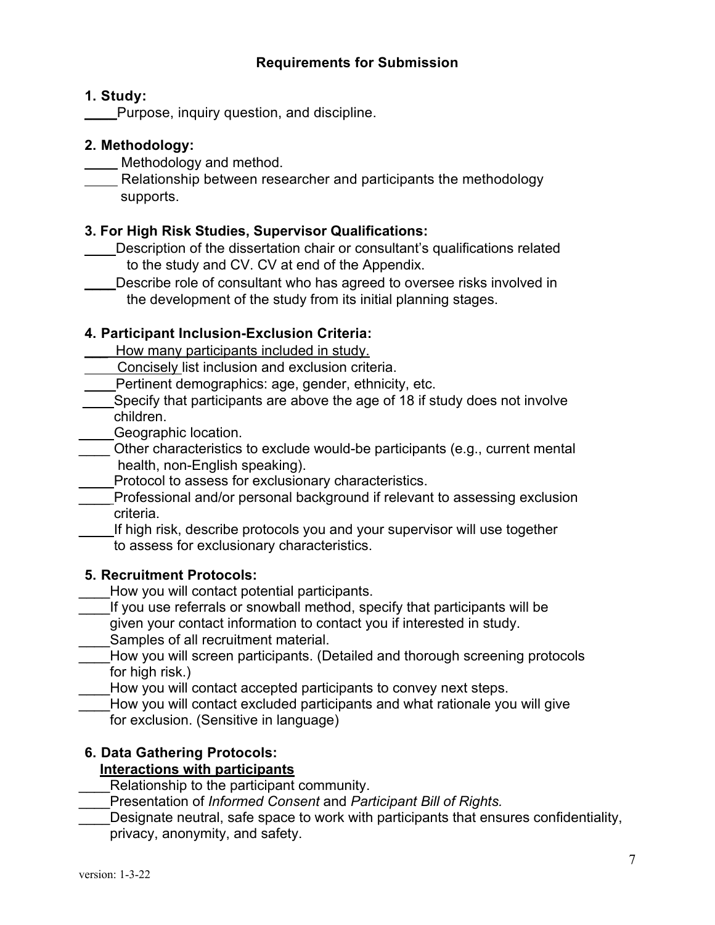## **Requirements for Submission**

### **1. Study:**

Purpose, inquiry question, and discipline.

## **2. Methodology:**

Methodology and method.

Relationship between researcher and participants the methodology supports.

## **3. For High Risk Studies, Supervisor Qualifications:**

- Description of the dissertation chair or consultant's qualifications related to the study and CV. CV at end of the Appendix.
- Describe role of consultant who has agreed to oversee risks involved in the development of the study from its initial planning stages.

## **4. Participant Inclusion-Exclusion Criteria:**

- How many participants included in study.
- Concisely list inclusion and exclusion criteria.
- Pertinent demographics: age, gender, ethnicity, etc.
- Specify that participants are above the age of 18 if study does not involve children.
- \_\_\_\_ Geographic location.
- Other characteristics to exclude would-be participants (e.g., current mental health, non-English speaking).
- Protocol to assess for exclusionary characteristics.
- \_\_\_\_ Professional and/or personal background if relevant to assessing exclusion criteria.

\_\_\_\_ If high risk, describe protocols you and your supervisor will use together to assess for exclusionary characteristics.

## **5. Recruitment Protocols:**

- How you will contact potential participants.
- If you use referrals or snowball method, specify that participants will be given your contact information to contact you if interested in study.
- Samples of all recruitment material.
- How you will screen participants. (Detailed and thorough screening protocols for high risk.)
	- How you will contact accepted participants to convey next steps.
	- How you will contact excluded participants and what rationale you will give for exclusion. (Sensitive in language)

## **6. Data Gathering Protocols:**

## **Interactions with participants**

- Relationship to the participant community.
- \_\_\_\_Presentation of *Informed Consent* and *Participant Bill of Rights.*
- Designate neutral, safe space to work with participants that ensures confidentiality, privacy, anonymity, and safety.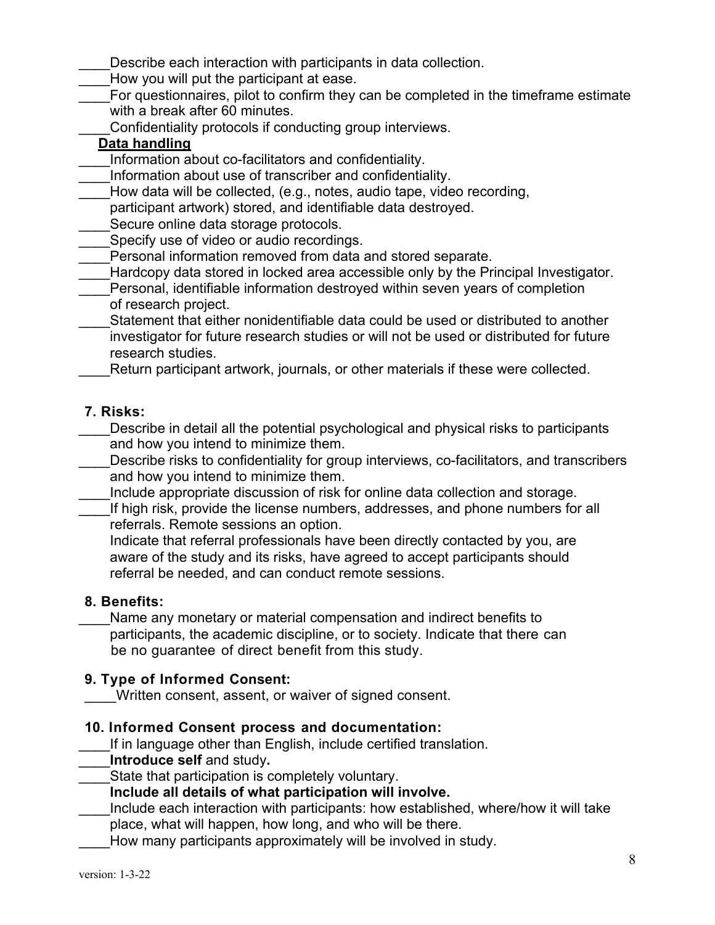Describe each interaction with participants in data collection.

- How you will put the participant at ease.
- For questionnaires, pilot to confirm they can be completed in the timeframe estimate with a break after 60 minutes.
	- Confidentiality protocols if conducting group interviews.

## **Data handling**

- Information about co-facilitators and confidentiality.
- Information about use of transcriber and confidentiality.
- How data will be collected, (e.g., notes, audio tape, video recording,
- participant artwork) stored, and identifiable data destroyed.
- Secure online data storage protocols.
- Specify use of video or audio recordings.
- Personal information removed from data and stored separate.
- Hardcopy data stored in locked area accessible only by the Principal Investigator.
- Personal, identifiable information destroyed within seven years of completion of research project.
- \_\_\_\_Statement that either nonidentifiable data could be used or distributed to another investigator for future research studies or will not be used or distributed for future research studies.
	- Return participant artwork, journals, or other materials if these were collected.

## **7. Risks:**

- Describe in detail all the potential psychological and physical risks to participants and how you intend to minimize them.
- Describe risks to confidentiality for group interviews, co-facilitators, and transcribers and how you intend to minimize them.
- Include appropriate discussion of risk for online data collection and storage.
- If high risk, provide the license numbers, addresses, and phone numbers for all referrals. Remote sessions an option.
	- Indicate that referral professionals have been directly contacted by you, are aware of the study and its risks, have agreed to accept participants should referral be needed, and can conduct remote sessions.

## **8. Benefits:**

Name any monetary or material compensation and indirect benefits to participants, the academic discipline, or to society. Indicate that there can be no guarantee of direct benefit from this study.

## **9. Type of Informed Consent:**

- \_\_\_\_Written consent, assent, or waiver of signed consent.
- **10. Informed Consent process and documentation:**
	- If in language other than English, include certified translation.
- \_\_\_\_**Introduce self** and study**.**
- State that participation is completely voluntary.
	- **Include all details of what participation will involve.**
- Include each interaction with participants: how established, where/how it will take
- place, what will happen, how long, and who will be there.
- How many participants approximately will be involved in study.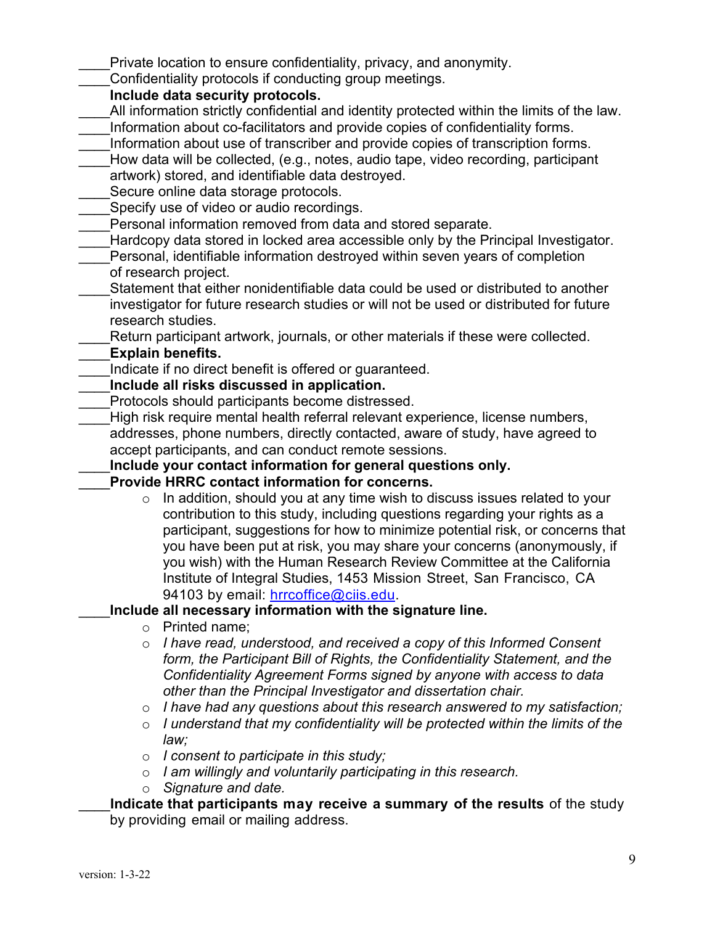Private location to ensure confidentiality, privacy, and anonymity.

Confidentiality protocols if conducting group meetings.

### **Include data security protocols.**

- All information strictly confidential and identity protected within the limits of the law.
- \_\_\_\_Information about co-facilitators and provide copies of confidentiality forms.
- Information about use of transcriber and provide copies of transcription forms.
- How data will be collected, (e.g., notes, audio tape, video recording, participant artwork) stored, and identifiable data destroyed.
- Secure online data storage protocols.
- Specify use of video or audio recordings.
- Personal information removed from data and stored separate.
- Hardcopy data stored in locked area accessible only by the Principal Investigator.
- \_\_\_\_Personal, identifiable information destroyed within seven years of completion of research project.
- Statement that either nonidentifiable data could be used or distributed to another investigator for future research studies or will not be used or distributed for future research studies.
	- Return participant artwork, journals, or other materials if these were collected.

# \_\_\_\_**Explain benefits.**

- Indicate if no direct benefit is offered or quaranteed.
- \_\_\_\_**Include all risks discussed in application.**
- Protocols should participants become distressed.
- High risk require mental health referral relevant experience, license numbers, addresses, phone numbers, directly contacted, aware of study, have agreed to accept participants, and can conduct remote sessions.

## \_\_\_\_**Include your contact information for general questions only.**

- \_\_\_\_**Provide HRRC contact information for concerns.** 
	- o In addition, should you at any time wish to discuss issues related to your contribution to this study, including questions regarding your rights as a participant, suggestions for how to minimize potential risk, or concerns that you have been put at risk, you may share your concerns (anonymously, if you wish) with the Human Research Review Committee at the California Institute of Integral Studies, 1453 Mission Street, San Francisco, CA 94103 by email: hrrcoffice@ciis.edu.

## \_\_\_\_**Include all necessary information with the signature line.**

- o Printed name;
- o *I have read, understood, and received a copy of this Informed Consent form, the Participant Bill of Rights, the Confidentiality Statement, and the Confidentiality Agreement Forms signed by anyone with access to data other than the Principal Investigator and dissertation chair.*
- o *I have had any questions about this research answered to my satisfaction;*
- o *I understand that my confidentiality will be protected within the limits of the law;*
- o *I consent to participate in this study;*
- o *I am willingly and voluntarily participating in this research.*
- o *Signature and date.*

## \_\_\_\_**Indicate that participants may receive a summary of the results** of the study by providing email or mailing address.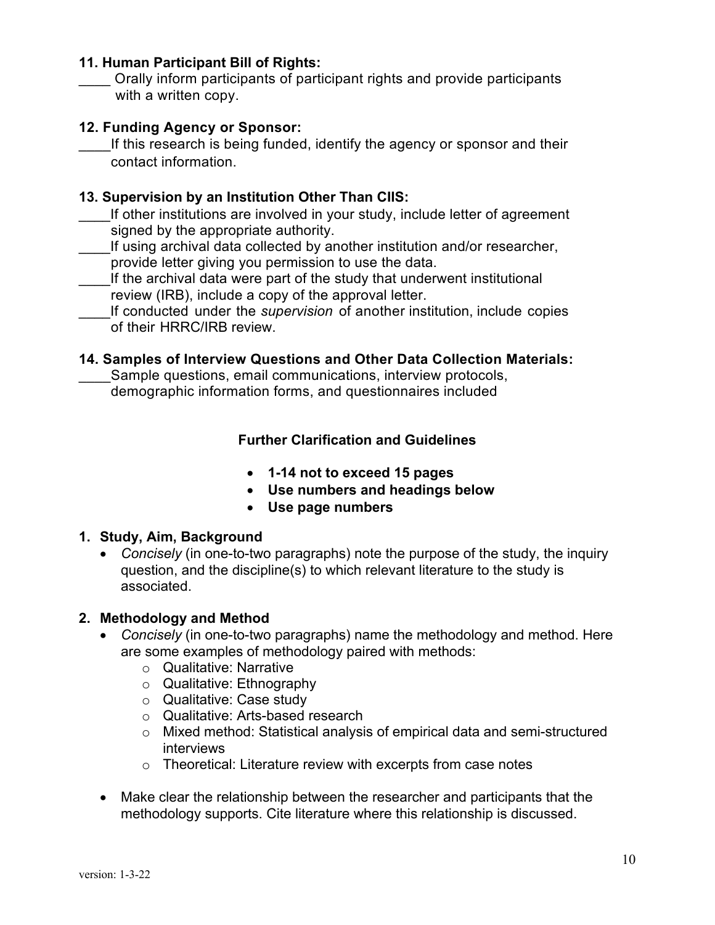#### **11. Human Participant Bill of Rights:**

\_\_\_\_ Orally inform participants of participant rights and provide participants with a written copy.

### **12. Funding Agency or Sponsor:**

If this research is being funded, identify the agency or sponsor and their contact information.

## **13. Supervision by an Institution Other Than CIIS:**

- If other institutions are involved in your study, include letter of agreement signed by the appropriate authority.
- If using archival data collected by another institution and/or researcher, provide letter giving you permission to use the data.
- If the archival data were part of the study that underwent institutional review (IRB), include a copy of the approval letter.
- \_\_\_\_If conducted under the *supervision* of another institution, include copies of their HRRC/IRB review.

#### **14. Samples of Interview Questions and Other Data Collection Materials:**

Sample questions, email communications, interview protocols, demographic information forms, and questionnaires included

## **Further Clarification and Guidelines**

- **1-14 not to exceed 15 pages**
- **Use numbers and headings below**
- **Use page numbers**

#### **1. Study, Aim, Background**

• *Concisely* (in one-to-two paragraphs) note the purpose of the study, the inquiry question, and the discipline(s) to which relevant literature to the study is associated.

#### **2. Methodology and Method**

- *Concisely* (in one-to-two paragraphs) name the methodology and method. Here are some examples of methodology paired with methods:
	- o Qualitative: Narrative
	- o Qualitative: Ethnography
	- o Qualitative: Case study
	- o Qualitative: Arts-based research
	- o Mixed method: Statistical analysis of empirical data and semi-structured interviews
	- o Theoretical: Literature review with excerpts from case notes
- Make clear the relationship between the researcher and participants that the methodology supports. Cite literature where this relationship is discussed.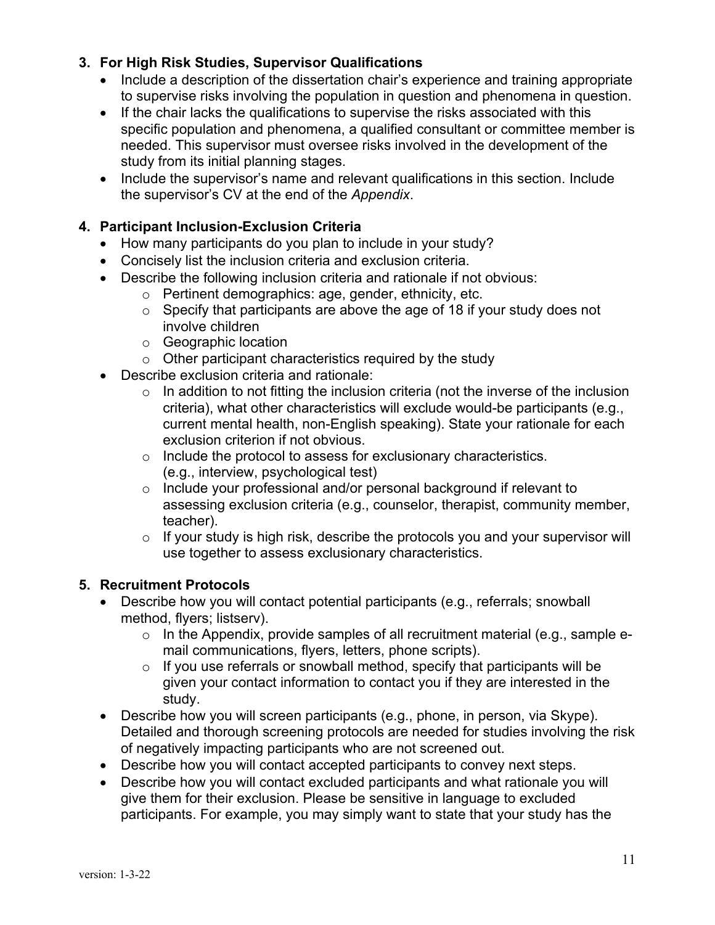# **3. For High Risk Studies, Supervisor Qualifications**

- Include a description of the dissertation chair's experience and training appropriate to supervise risks involving the population in question and phenomena in question.
- If the chair lacks the qualifications to supervise the risks associated with this specific population and phenomena, a qualified consultant or committee member is needed. This supervisor must oversee risks involved in the development of the study from its initial planning stages.
- Include the supervisor's name and relevant qualifications in this section. Include the supervisor's CV at the end of the *Appendix*.

## **4. Participant Inclusion-Exclusion Criteria**

- How many participants do you plan to include in your study?
- Concisely list the inclusion criteria and exclusion criteria.
- Describe the following inclusion criteria and rationale if not obvious:
	- o Pertinent demographics: age, gender, ethnicity, etc.
	- $\circ$  Specify that participants are above the age of 18 if your study does not involve children
	- o Geographic location
	- $\circ$  Other participant characteristics required by the study
- Describe exclusion criteria and rationale:
	- $\circ$  In addition to not fitting the inclusion criteria (not the inverse of the inclusion criteria), what other characteristics will exclude would-be participants (e.g., current mental health, non-English speaking). State your rationale for each exclusion criterion if not obvious.
	- o Include the protocol to assess for exclusionary characteristics. (e.g., interview, psychological test)
	- o Include your professional and/or personal background if relevant to assessing exclusion criteria (e.g., counselor, therapist, community member, teacher).
	- $\circ$  If your study is high risk, describe the protocols you and your supervisor will use together to assess exclusionary characteristics.

## **5. Recruitment Protocols**

- Describe how you will contact potential participants (e.g., referrals; snowball method, flyers; listserv).
	- o In the Appendix, provide samples of all recruitment material (e.g., sample email communications, flyers, letters, phone scripts).
	- $\circ$  If you use referrals or snowball method, specify that participants will be given your contact information to contact you if they are interested in the study.
- Describe how you will screen participants (e.g., phone, in person, via Skype). Detailed and thorough screening protocols are needed for studies involving the risk of negatively impacting participants who are not screened out.
- Describe how you will contact accepted participants to convey next steps.
- Describe how you will contact excluded participants and what rationale you will give them for their exclusion. Please be sensitive in language to excluded participants. For example, you may simply want to state that your study has the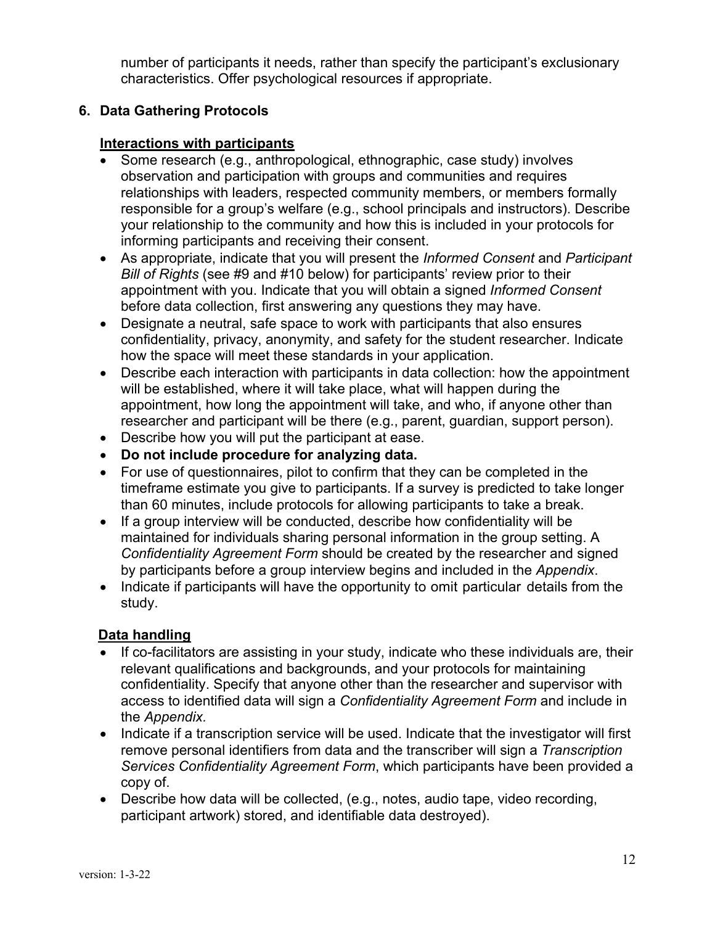number of participants it needs, rather than specify the participant's exclusionary characteristics. Offer psychological resources if appropriate.

# **6. Data Gathering Protocols**

# **Interactions with participants**

- Some research (e.g., anthropological, ethnographic, case study) involves observation and participation with groups and communities and requires relationships with leaders, respected community members, or members formally responsible for a group's welfare (e.g., school principals and instructors). Describe your relationship to the community and how this is included in your protocols for informing participants and receiving their consent.
- As appropriate, indicate that you will present the *Informed Consent* and *Participant Bill of Rights* (see #9 and #10 below) for participants' review prior to their appointment with you. Indicate that you will obtain a signed *Informed Consent* before data collection, first answering any questions they may have.
- Designate a neutral, safe space to work with participants that also ensures confidentiality, privacy, anonymity, and safety for the student researcher. Indicate how the space will meet these standards in your application.
- Describe each interaction with participants in data collection: how the appointment will be established, where it will take place, what will happen during the appointment, how long the appointment will take, and who, if anyone other than researcher and participant will be there (e.g., parent, guardian, support person).
- Describe how you will put the participant at ease.
- **Do not include procedure for analyzing data.**
- For use of questionnaires, pilot to confirm that they can be completed in the timeframe estimate you give to participants. If a survey is predicted to take longer than 60 minutes, include protocols for allowing participants to take a break.
- If a group interview will be conducted, describe how confidentiality will be maintained for individuals sharing personal information in the group setting. A *Confidentiality Agreement Form* should be created by the researcher and signed by participants before a group interview begins and included in the *Appendix*.
- Indicate if participants will have the opportunity to omit particular details from the study.

## **Data handling**

- If co-facilitators are assisting in your study, indicate who these individuals are, their relevant qualifications and backgrounds, and your protocols for maintaining confidentiality. Specify that anyone other than the researcher and supervisor with access to identified data will sign a *Confidentiality Agreement Form* and include in the *Appendix.*
- Indicate if a transcription service will be used. Indicate that the investigator will first remove personal identifiers from data and the transcriber will sign a *Transcription Services Confidentiality Agreement Form*, which participants have been provided a copy of.
- Describe how data will be collected, (e.g., notes, audio tape, video recording, participant artwork) stored, and identifiable data destroyed).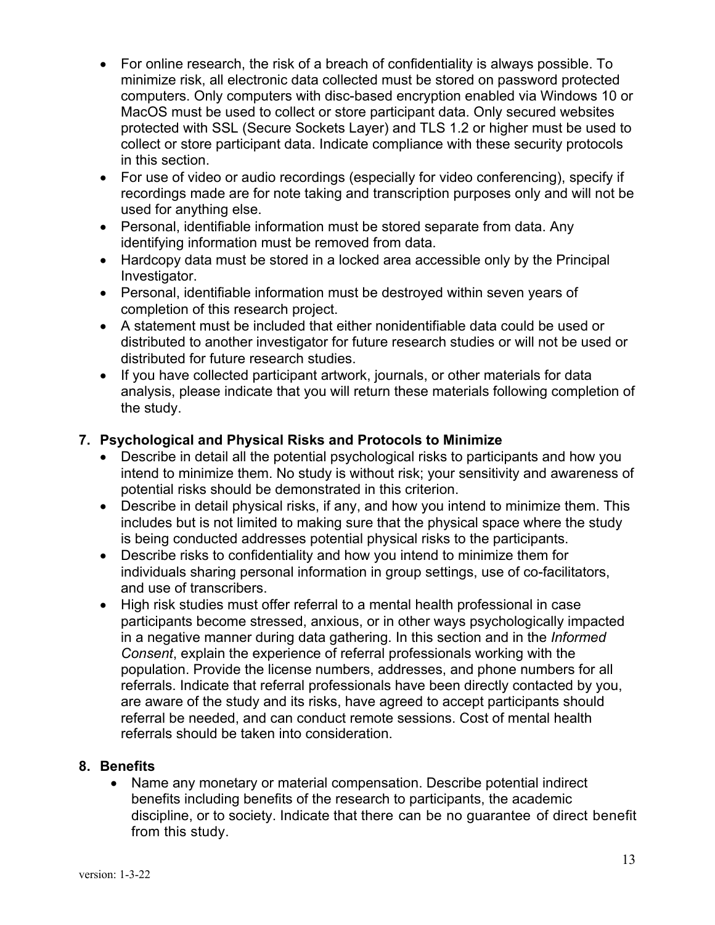- For online research, the risk of a breach of confidentiality is always possible. To minimize risk, all electronic data collected must be stored on password protected computers. Only computers with disc-based encryption enabled via Windows 10 or MacOS must be used to collect or store participant data. Only secured websites protected with SSL (Secure Sockets Layer) and TLS 1.2 or higher must be used to collect or store participant data. Indicate compliance with these security protocols in this section.
- For use of video or audio recordings (especially for video conferencing), specify if recordings made are for note taking and transcription purposes only and will not be used for anything else.
- Personal, identifiable information must be stored separate from data. Any identifying information must be removed from data.
- Hardcopy data must be stored in a locked area accessible only by the Principal Investigator.
- Personal, identifiable information must be destroyed within seven years of completion of this research project.
- A statement must be included that either nonidentifiable data could be used or distributed to another investigator for future research studies or will not be used or distributed for future research studies.
- If you have collected participant artwork, journals, or other materials for data analysis, please indicate that you will return these materials following completion of the study.

# **7. Psychological and Physical Risks and Protocols to Minimize**

- Describe in detail all the potential psychological risks to participants and how you intend to minimize them. No study is without risk; your sensitivity and awareness of potential risks should be demonstrated in this criterion.
- Describe in detail physical risks, if any, and how you intend to minimize them. This includes but is not limited to making sure that the physical space where the study is being conducted addresses potential physical risks to the participants.
- Describe risks to confidentiality and how you intend to minimize them for individuals sharing personal information in group settings, use of co-facilitators, and use of transcribers.
- High risk studies must offer referral to a mental health professional in case participants become stressed, anxious, or in other ways psychologically impacted in a negative manner during data gathering. In this section and in the *Informed Consent*, explain the experience of referral professionals working with the population. Provide the license numbers, addresses, and phone numbers for all referrals. Indicate that referral professionals have been directly contacted by you, are aware of the study and its risks, have agreed to accept participants should referral be needed, and can conduct remote sessions. Cost of mental health referrals should be taken into consideration.

## **8. Benefits**

• Name any monetary or material compensation. Describe potential indirect benefits including benefits of the research to participants, the academic discipline, or to society. Indicate that there can be no guarantee of direct benefit from this study.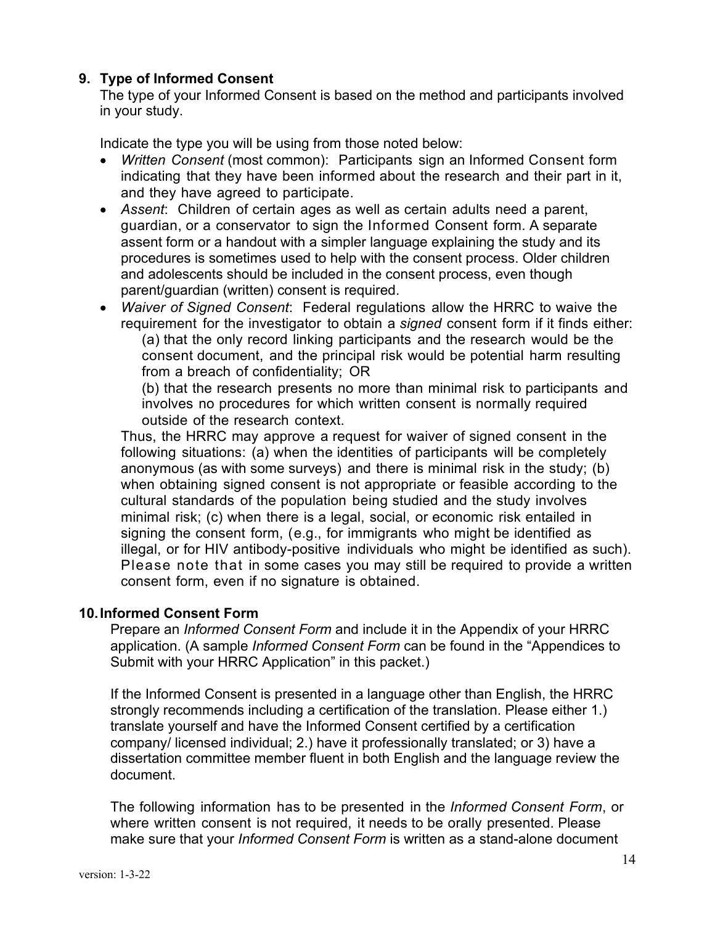## **9. Type of Informed Consent**

The type of your Informed Consent is based on the method and participants involved in your study.

Indicate the type you will be using from those noted below:

- *Written Consent* (most common): Participants sign an Informed Consent form indicating that they have been informed about the research and their part in it, and they have agreed to participate.
- *Assent*: Children of certain ages as well as certain adults need a parent, guardian, or a conservator to sign the Informed Consent form. A separate assent form or a handout with a simpler language explaining the study and its procedures is sometimes used to help with the consent process. Older children and adolescents should be included in the consent process, even though parent/guardian (written) consent is required.
- *Waiver of Signed Consent*: Federal regulations allow the HRRC to waive the requirement for the investigator to obtain a *signed* consent form if it finds either: (a) that the only record linking participants and the research would be the consent document, and the principal risk would be potential harm resulting from a breach of confidentiality; OR

(b) that the research presents no more than minimal risk to participants and involves no procedures for which written consent is normally required outside of the research context.

Thus, the HRRC may approve a request for waiver of signed consent in the following situations: (a) when the identities of participants will be completely anonymous (as with some surveys) and there is minimal risk in the study; (b) when obtaining signed consent is not appropriate or feasible according to the cultural standards of the population being studied and the study involves minimal risk; (c) when there is a legal, social, or economic risk entailed in signing the consent form, (e.g., for immigrants who might be identified as illegal, or for HIV antibody-positive individuals who might be identified as such). Please note that in some cases you may still be required to provide a written consent form, even if no signature is obtained.

#### **10.Informed Consent Form**

Prepare an *Informed Consent Form* and include it in the Appendix of your HRRC application. (A sample *Informed Consent Form* can be found in the "Appendices to Submit with your HRRC Application" in this packet.)

If the Informed Consent is presented in a language other than English, the HRRC strongly recommends including a certification of the translation. Please either 1.) translate yourself and have the Informed Consent certified by a certification company/ licensed individual; 2.) have it professionally translated; or 3) have a dissertation committee member fluent in both English and the language review the document.

The following information has to be presented in the *Informed Consent Form*, or where written consent is not required, it needs to be orally presented. Please make sure that your *Informed Consent Form* is written as a stand-alone document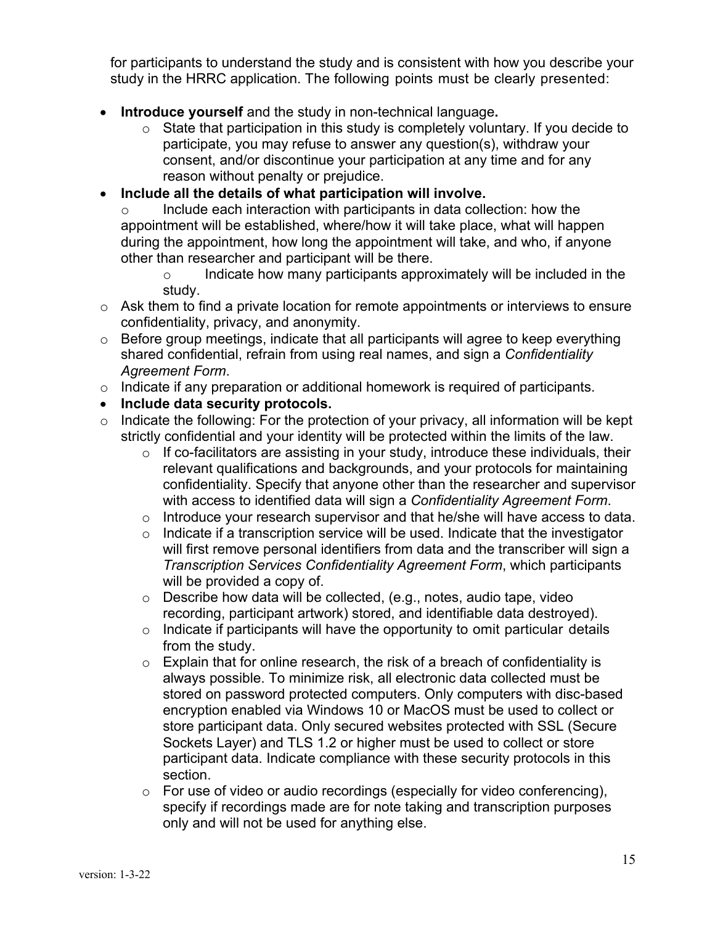for participants to understand the study and is consistent with how you describe your study in the HRRC application. The following points must be clearly presented:

- **Introduce yourself** and the study in non-technical language**.**
	- $\circ$  State that participation in this study is completely voluntary. If you decide to participate, you may refuse to answer any question(s), withdraw your consent, and/or discontinue your participation at any time and for any reason without penalty or prejudice.
- **Include all the details of what participation will involve.**

o Include each interaction with participants in data collection: how the appointment will be established, where/how it will take place, what will happen during the appointment, how long the appointment will take, and who, if anyone other than researcher and participant will be there.

 $\circ$  Indicate how many participants approximately will be included in the study.

- $\circ$  Ask them to find a private location for remote appointments or interviews to ensure confidentiality, privacy, and anonymity.
- o Before group meetings, indicate that all participants will agree to keep everything shared confidential, refrain from using real names, and sign a *Confidentiality Agreement Form*.
- o Indicate if any preparation or additional homework is required of participants.
- **Include data security protocols.**
- $\circ$  Indicate the following: For the protection of your privacy, all information will be kept strictly confidential and your identity will be protected within the limits of the law.
	- $\circ$  If co-facilitators are assisting in your study, introduce these individuals, their relevant qualifications and backgrounds, and your protocols for maintaining confidentiality. Specify that anyone other than the researcher and supervisor with access to identified data will sign a *Confidentiality Agreement Form*.
	- $\circ$  Introduce your research supervisor and that he/she will have access to data.
	- $\circ$  Indicate if a transcription service will be used. Indicate that the investigator will first remove personal identifiers from data and the transcriber will sign a *Transcription Services Confidentiality Agreement Form*, which participants will be provided a copy of.
	- o Describe how data will be collected, (e.g., notes, audio tape, video recording, participant artwork) stored, and identifiable data destroyed).
	- $\circ$  Indicate if participants will have the opportunity to omit particular details from the study.
	- o Explain that for online research, the risk of a breach of confidentiality is always possible. To minimize risk, all electronic data collected must be stored on password protected computers. Only computers with disc-based encryption enabled via Windows 10 or MacOS must be used to collect or store participant data. Only secured websites protected with SSL (Secure Sockets Layer) and TLS 1.2 or higher must be used to collect or store participant data. Indicate compliance with these security protocols in this section.
	- o For use of video or audio recordings (especially for video conferencing), specify if recordings made are for note taking and transcription purposes only and will not be used for anything else.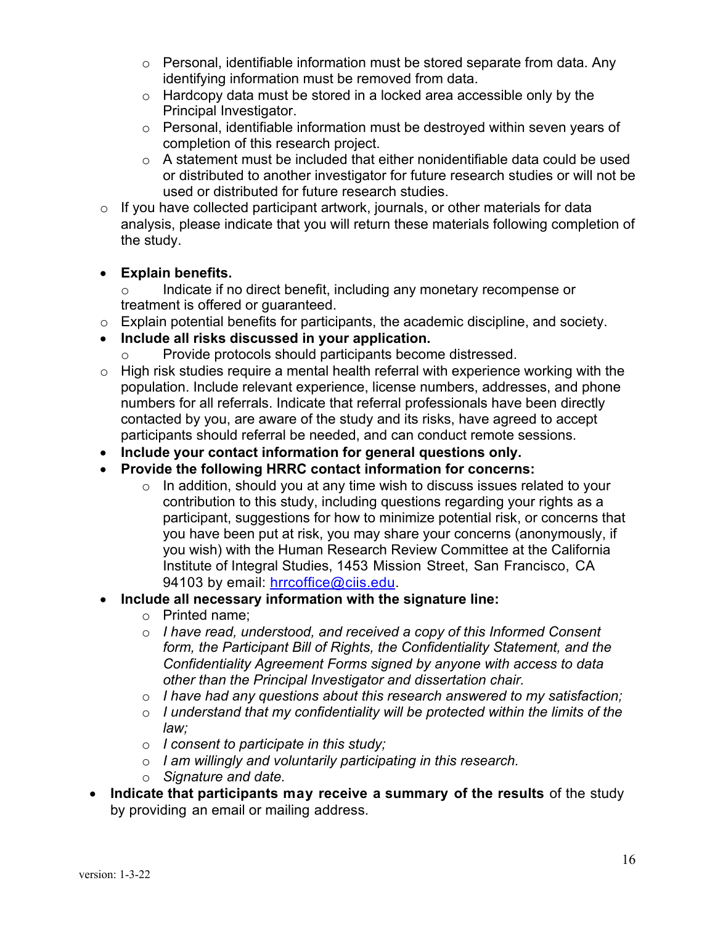- $\circ$  Personal, identifiable information must be stored separate from data. Any identifying information must be removed from data.
- $\circ$  Hardcopy data must be stored in a locked area accessible only by the Principal Investigator.
- $\circ$  Personal, identifiable information must be destroyed within seven years of completion of this research project.
- o A statement must be included that either nonidentifiable data could be used or distributed to another investigator for future research studies or will not be used or distributed for future research studies.
- $\circ$  If you have collected participant artwork, journals, or other materials for data analysis, please indicate that you will return these materials following completion of the study.

# • **Explain benefits.**

- o Indicate if no direct benefit, including any monetary recompense or treatment is offered or guaranteed.
- o Explain potential benefits for participants, the academic discipline, and society.
- **Include all risks discussed in your application.**
	- Provide protocols should participants become distressed.
- $\circ$  High risk studies require a mental health referral with experience working with the population. Include relevant experience, license numbers, addresses, and phone numbers for all referrals. Indicate that referral professionals have been directly contacted by you, are aware of the study and its risks, have agreed to accept participants should referral be needed, and can conduct remote sessions.
- **Include your contact information for general questions only.**
- **Provide the following HRRC contact information for concerns:**
	- o In addition, should you at any time wish to discuss issues related to your contribution to this study, including questions regarding your rights as a participant, suggestions for how to minimize potential risk, or concerns that you have been put at risk, you may share your concerns (anonymously, if you wish) with the Human Research Review Committee at the California Institute of Integral Studies, 1453 Mission Street, San Francisco, CA 94103 by email: hrrcoffice@ciis.edu.
- **Include all necessary information with the signature line:**
	- o Printed name;
	- o *I have read, understood, and received a copy of this Informed Consent form, the Participant Bill of Rights, the Confidentiality Statement, and the Confidentiality Agreement Forms signed by anyone with access to data other than the Principal Investigator and dissertation chair.*
	- o *I have had any questions about this research answered to my satisfaction;*
	- o *I understand that my confidentiality will be protected within the limits of the law;*
	- o *I consent to participate in this study;*
	- o *I am willingly and voluntarily participating in this research.*
	- o *Signature and date.*
- **Indicate that participants may receive a summary of the results** of the study by providing an email or mailing address.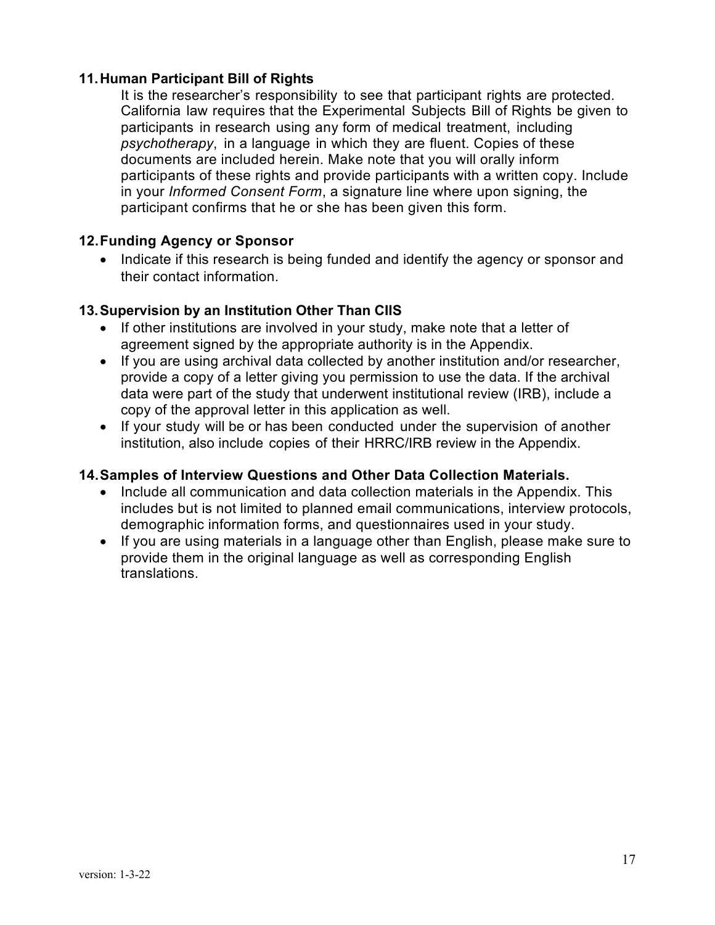## **11.Human Participant Bill of Rights**

It is the researcher's responsibility to see that participant rights are protected. California law requires that the Experimental Subjects Bill of Rights be given to participants in research using any form of medical treatment, including *psychotherapy*, in a language in which they are fluent. Copies of these documents are included herein. Make note that you will orally inform participants of these rights and provide participants with a written copy. Include in your *Informed Consent Form*, a signature line where upon signing, the participant confirms that he or she has been given this form.

## **12.Funding Agency or Sponsor**

• Indicate if this research is being funded and identify the agency or sponsor and their contact information.

## **13.Supervision by an Institution Other Than CIIS**

- If other institutions are involved in your study, make note that a letter of agreement signed by the appropriate authority is in the Appendix.
- If you are using archival data collected by another institution and/or researcher, provide a copy of a letter giving you permission to use the data. If the archival data were part of the study that underwent institutional review (IRB), include a copy of the approval letter in this application as well.
- If your study will be or has been conducted under the supervision of another institution, also include copies of their HRRC/IRB review in the Appendix.

#### **14.Samples of Interview Questions and Other Data Collection Materials.**

- Include all communication and data collection materials in the Appendix. This includes but is not limited to planned email communications, interview protocols, demographic information forms, and questionnaires used in your study.
- If you are using materials in a language other than English, please make sure to provide them in the original language as well as corresponding English translations.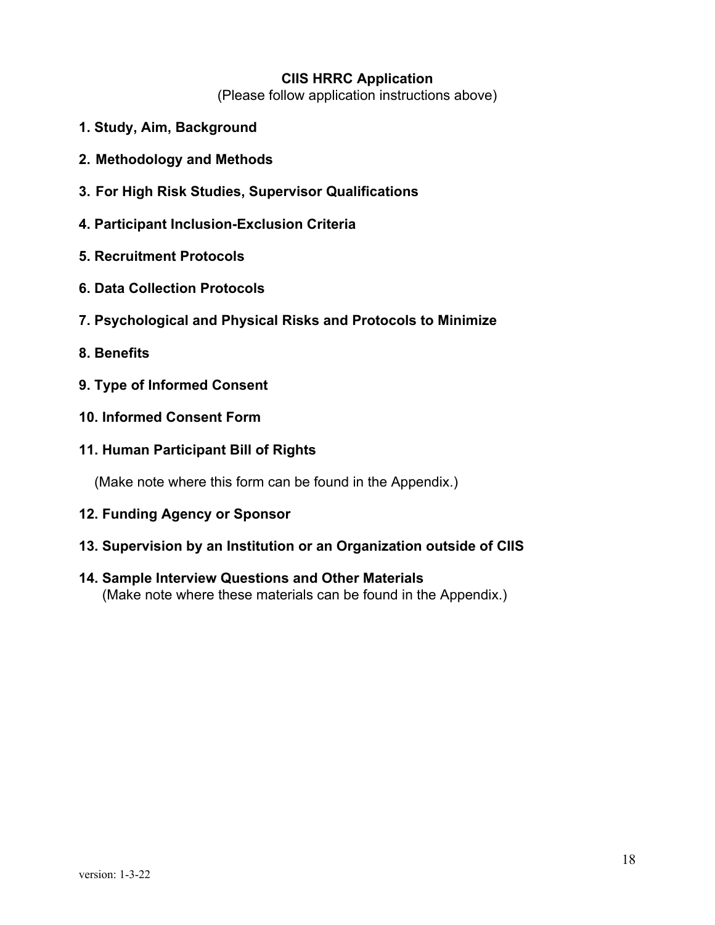#### **CIIS HRRC Application**

(Please follow application instructions above)

- **1. Study, Aim, Background**
- **2. Methodology and Methods**
- **3. For High Risk Studies, Supervisor Qualifications**
- **4. Participant Inclusion-Exclusion Criteria**
- **5. Recruitment Protocols**
- **6. Data Collection Protocols**
- **7. Psychological and Physical Risks and Protocols to Minimize**
- **8. Benefits**
- **9. Type of Informed Consent**
- **10. Informed Consent Form**
- **11. Human Participant Bill of Rights**

(Make note where this form can be found in the Appendix.)

- **12. Funding Agency or Sponsor**
- **13. Supervision by an Institution or an Organization outside of CIIS**
- **14. Sample Interview Questions and Other Materials**  (Make note where these materials can be found in the Appendix.)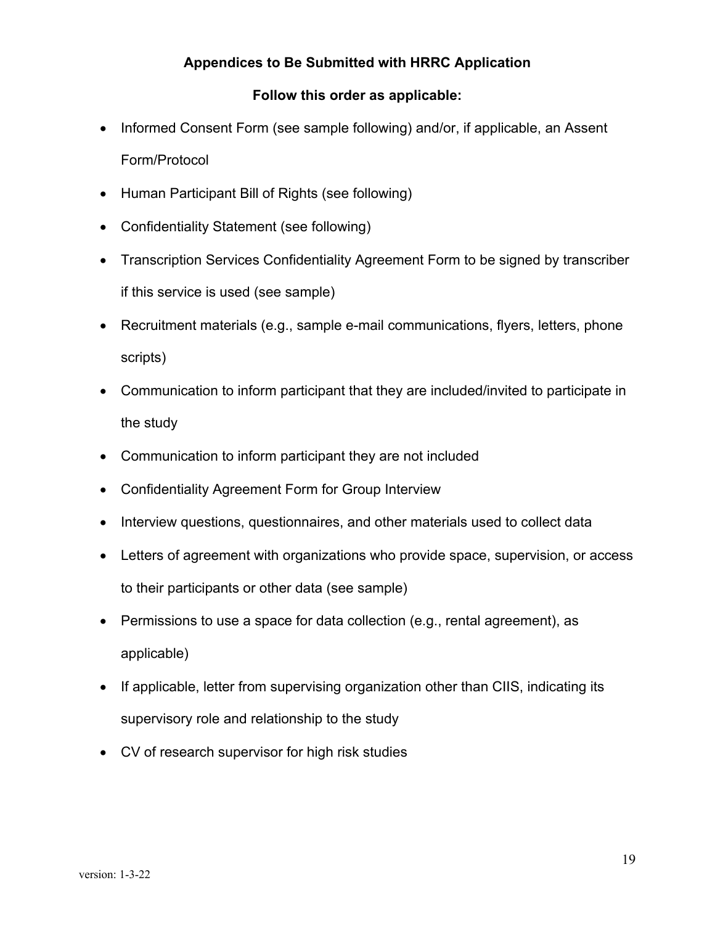# **Appendices to Be Submitted with HRRC Application**

## **Follow this order as applicable:**

- Informed Consent Form (see sample following) and/or, if applicable, an Assent Form/Protocol
- Human Participant Bill of Rights (see following)
- Confidentiality Statement (see following)
- Transcription Services Confidentiality Agreement Form to be signed by transcriber if this service is used (see sample)
- Recruitment materials (e.g., sample e-mail communications, flyers, letters, phone scripts)
- Communication to inform participant that they are included/invited to participate in the study
- Communication to inform participant they are not included
- Confidentiality Agreement Form for Group Interview
- Interview questions, questionnaires, and other materials used to collect data
- Letters of agreement with organizations who provide space, supervision, or access to their participants or other data (see sample)
- Permissions to use a space for data collection (e.g., rental agreement), as applicable)
- If applicable, letter from supervising organization other than CIIS, indicating its supervisory role and relationship to the study
- CV of research supervisor for high risk studies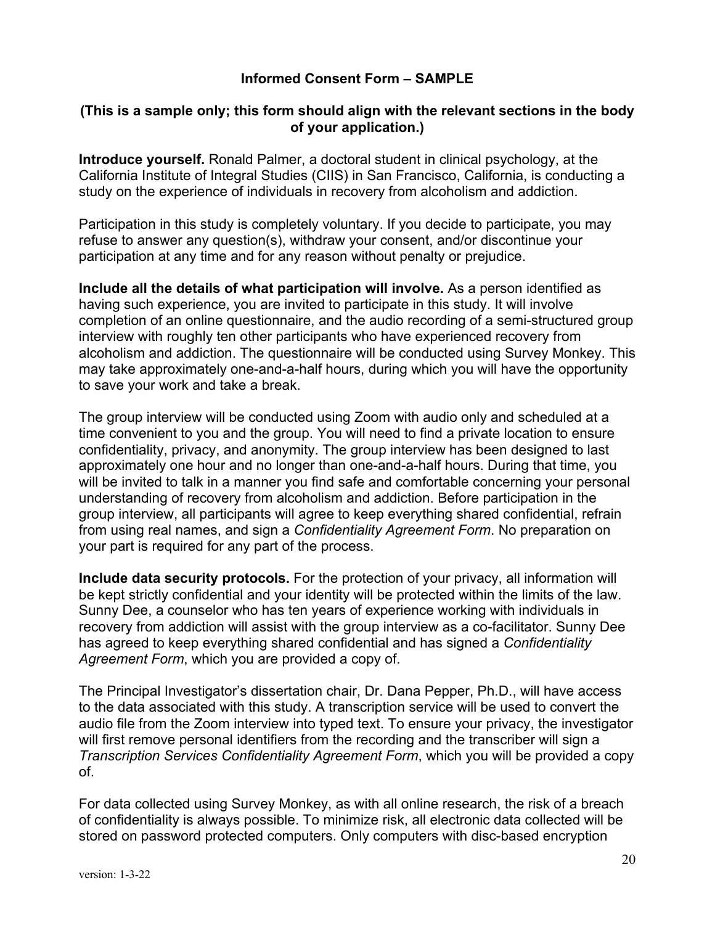## **Informed Consent Form – SAMPLE**

## **(This is a sample only; this form should align with the relevant sections in the body of your application.)**

**Introduce yourself.** Ronald Palmer, a doctoral student in clinical psychology, at the California Institute of Integral Studies (CIIS) in San Francisco, California, is conducting a study on the experience of individuals in recovery from alcoholism and addiction.

Participation in this study is completely voluntary. If you decide to participate, you may refuse to answer any question(s), withdraw your consent, and/or discontinue your participation at any time and for any reason without penalty or prejudice.

**Include all the details of what participation will involve.** As a person identified as having such experience, you are invited to participate in this study. It will involve completion of an online questionnaire, and the audio recording of a semi-structured group interview with roughly ten other participants who have experienced recovery from alcoholism and addiction. The questionnaire will be conducted using Survey Monkey. This may take approximately one-and-a-half hours, during which you will have the opportunity to save your work and take a break.

The group interview will be conducted using Zoom with audio only and scheduled at a time convenient to you and the group. You will need to find a private location to ensure confidentiality, privacy, and anonymity. The group interview has been designed to last approximately one hour and no longer than one-and-a-half hours. During that time, you will be invited to talk in a manner you find safe and comfortable concerning your personal understanding of recovery from alcoholism and addiction. Before participation in the group interview, all participants will agree to keep everything shared confidential, refrain from using real names, and sign a *Confidentiality Agreement Form*. No preparation on your part is required for any part of the process.

**Include data security protocols.** For the protection of your privacy, all information will be kept strictly confidential and your identity will be protected within the limits of the law. Sunny Dee, a counselor who has ten years of experience working with individuals in recovery from addiction will assist with the group interview as a co-facilitator. Sunny Dee has agreed to keep everything shared confidential and has signed a *Confidentiality Agreement Form*, which you are provided a copy of.

The Principal Investigator's dissertation chair, Dr. Dana Pepper, Ph.D., will have access to the data associated with this study. A transcription service will be used to convert the audio file from the Zoom interview into typed text. To ensure your privacy, the investigator will first remove personal identifiers from the recording and the transcriber will sign a *Transcription Services Confidentiality Agreement Form*, which you will be provided a copy of.

For data collected using Survey Monkey, as with all online research, the risk of a breach of confidentiality is always possible. To minimize risk, all electronic data collected will be stored on password protected computers. Only computers with disc-based encryption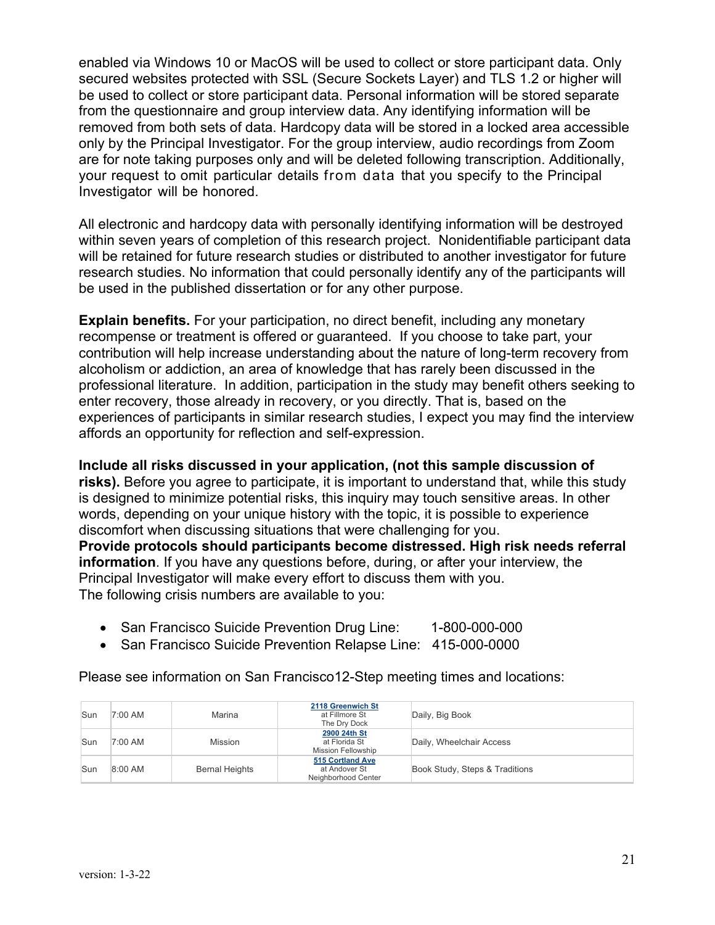enabled via Windows 10 or MacOS will be used to collect or store participant data. Only secured websites protected with SSL (Secure Sockets Layer) and TLS 1.2 or higher will be used to collect or store participant data. Personal information will be stored separate from the questionnaire and group interview data. Any identifying information will be removed from both sets of data. Hardcopy data will be stored in a locked area accessible only by the Principal Investigator. For the group interview, audio recordings from Zoom are for note taking purposes only and will be deleted following transcription. Additionally, your request to omit particular details from data that you specify to the Principal Investigator will be honored.

All electronic and hardcopy data with personally identifying information will be destroyed within seven years of completion of this research project. Nonidentifiable participant data will be retained for future research studies or distributed to another investigator for future research studies. No information that could personally identify any of the participants will be used in the published dissertation or for any other purpose.

**Explain benefits.** For your participation, no direct benefit, including any monetary recompense or treatment is offered or guaranteed. If you choose to take part, your contribution will help increase understanding about the nature of long-term recovery from alcoholism or addiction, an area of knowledge that has rarely been discussed in the professional literature. In addition, participation in the study may benefit others seeking to enter recovery, those already in recovery, or you directly. That is, based on the experiences of participants in similar research studies, I expect you may find the interview affords an opportunity for reflection and self-expression.

**Include all risks discussed in your application, (not this sample discussion of risks).** Before you agree to participate, it is important to understand that, while this study is designed to minimize potential risks, this inquiry may touch sensitive areas. In other words, depending on your unique history with the topic, it is possible to experience discomfort when discussing situations that were challenging for you. **Provide protocols should participants become distressed. High risk needs referral information**. If you have any questions before, during, or after your interview, the Principal Investigator will make every effort to discuss them with you.

The following crisis numbers are available to you:

- San Francisco Suicide Prevention Drug Line: 1-800-000-000
- San Francisco Suicide Prevention Relapse Line: 415-000-0000

| Sun | 7:00 AM   | Marina                | 2118 Greenwich St<br>at Fillmore St<br>The Dry Dock        | Daily, Big Book                |
|-----|-----------|-----------------------|------------------------------------------------------------|--------------------------------|
| Sun | 7:00 AM   | <b>Mission</b>        | 2900 24th St<br>at Florida St<br><b>Mission Fellowship</b> | Daily, Wheelchair Access       |
| Sun | $8:00$ AM | <b>Bernal Heights</b> | 515 Cortland Ave<br>at Andover St<br>Neighborhood Center   | Book Study, Steps & Traditions |

Please see information on San Francisco12-Step meeting times and locations: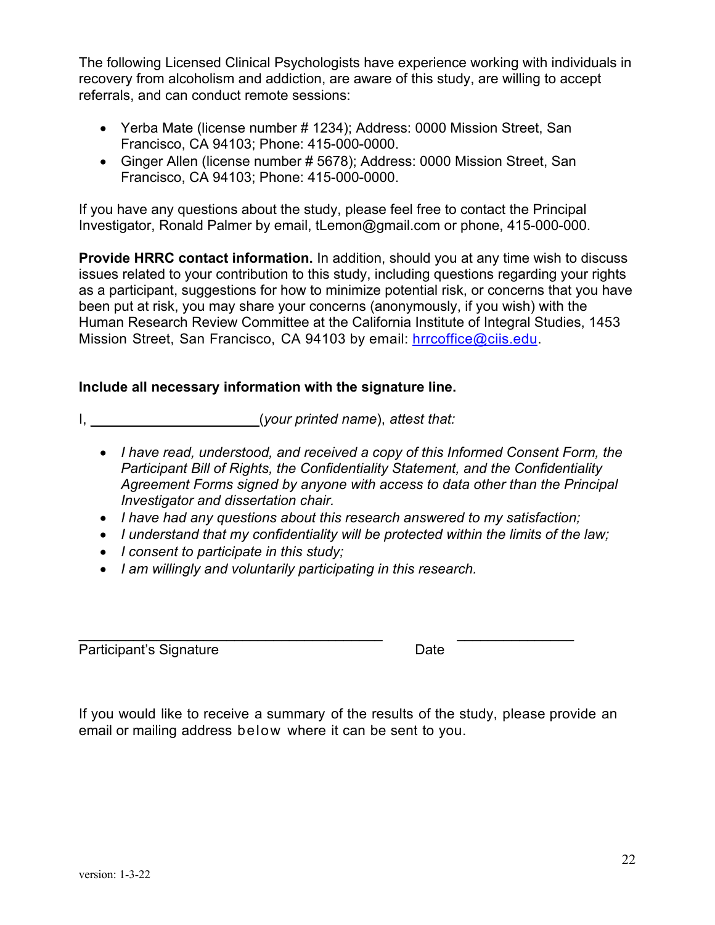The following Licensed Clinical Psychologists have experience working with individuals in recovery from alcoholism and addiction, are aware of this study, are willing to accept referrals, and can conduct remote sessions:

- Yerba Mate (license number # 1234); Address: 0000 Mission Street, San Francisco, CA 94103; Phone: 415-000-0000.
- Ginger Allen (license number # 5678); Address: 0000 Mission Street, San Francisco, CA 94103; Phone: 415-000-0000.

If you have any questions about the study, please feel free to contact the Principal Investigator, Ronald Palmer by email, tLemon@gmail.com or phone, 415-000-000.

**Provide HRRC contact information.** In addition, should you at any time wish to discuss issues related to your contribution to this study, including questions regarding your rights as a participant, suggestions for how to minimize potential risk, or concerns that you have been put at risk, you may share your concerns (anonymously, if you wish) with the Human Research Review Committee at the California Institute of Integral Studies, 1453 Mission Street, San Francisco, CA 94103 by email: hrrcoffice@ciis.edu.

## **Include all necessary information with the signature line.**

I, \_\_\_\_\_\_\_\_\_\_\_\_\_\_\_\_\_\_\_\_\_(*your printed name*), *attest that:*

- *I have read, understood, and received a copy of this Informed Consent Form, the Participant Bill of Rights, the Confidentiality Statement, and the Confidentiality Agreement Forms signed by anyone with access to data other than the Principal Investigator and dissertation chair.*
- *I have had any questions about this research answered to my satisfaction;*
- *I understand that my confidentiality will be protected within the limits of the law;*
- *I consent to participate in this study;*
- *I am willingly and voluntarily participating in this research.*

 $\mathcal{L}_\text{max}$  , and the contribution of the contribution of  $\mathcal{L}_\text{max}$  , and the contribution of  $\mathcal{L}_\text{max}$ Participant's Signature Date

If you would like to receive a summary of the results of the study, please provide an email or mailing address below where it can be sent to you.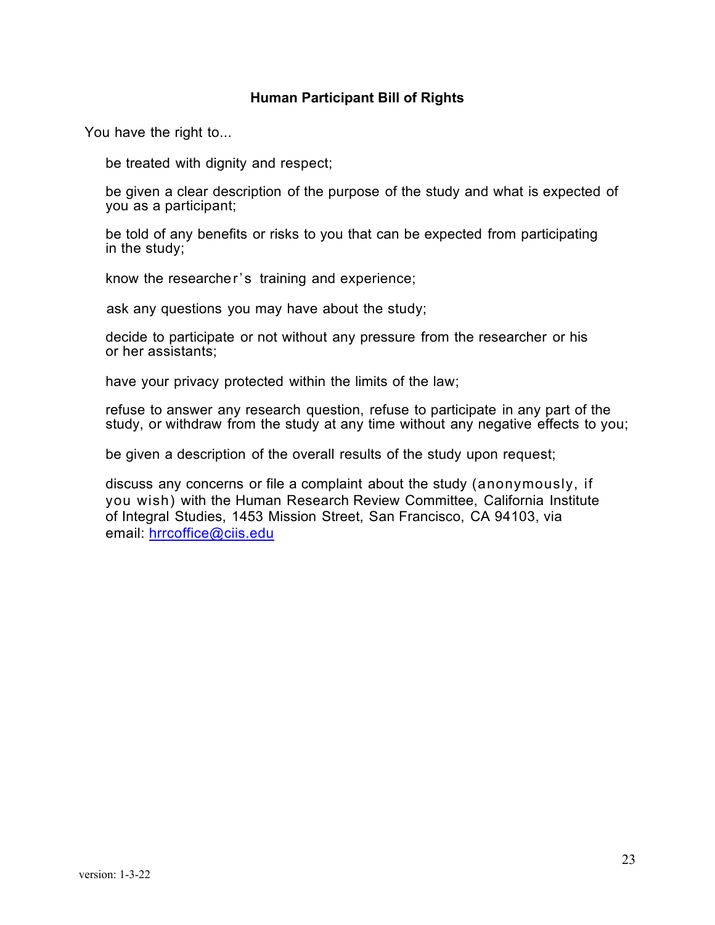#### **Human Participant Bill of Rights**

You have the right to...

be treated with dignity and respect;

 be given a clear description of the purpose of the study and what is expected of you as a participant;

 be told of any benefits or risks to you that can be expected from participating in the study;

know the researcher's training and experience;

ask any questions you may have about the study;

 decide to participate or not without any pressure from the researcher or his or her assistants;

have your privacy protected within the limits of the law;

 refuse to answer any research question, refuse to participate in any part of the study, or withdraw from the study at any time without any negative effects to you;

be given a description of the overall results of the study upon request;

 discuss any concerns or file a complaint about the study (anonymously, if you wish) with the Human Research Review Committee, California Institute of Integral Studies, 1453 Mission Street, San Francisco, CA 94103, via email: hrrcoffice@ciis.edu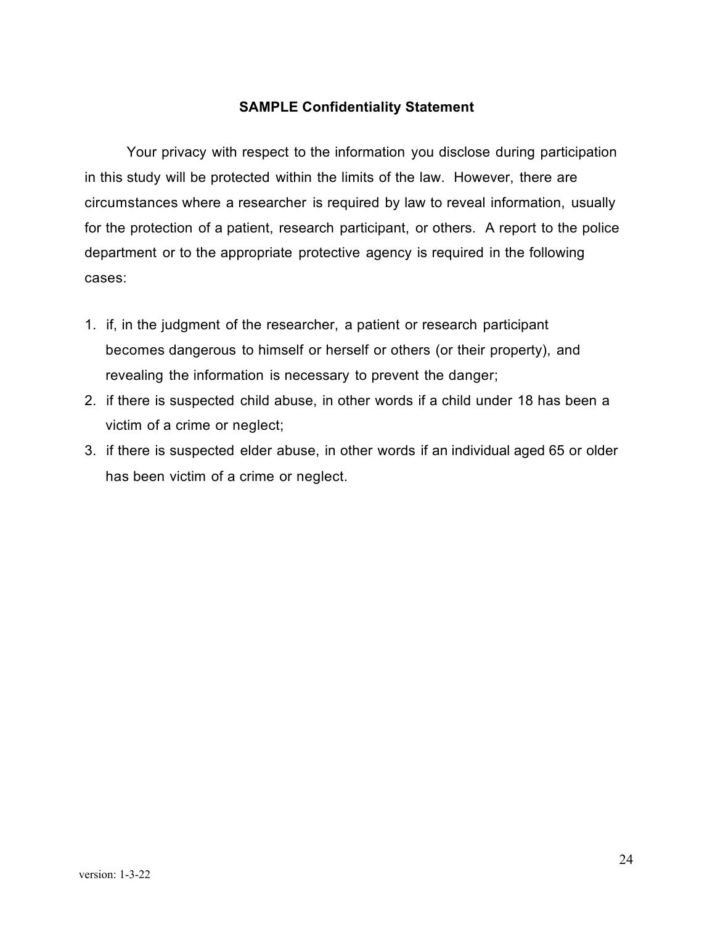#### **SAMPLE Confidentiality Statement**

Your privacy with respect to the information you disclose during participation in this study will be protected within the limits of the law. However, there are circumstances where a researcher is required by law to reveal information, usually for the protection of a patient, research participant, or others. A report to the police department or to the appropriate protective agency is required in the following cases:

- 1. if, in the judgment of the researcher, a patient or research participant becomes dangerous to himself or herself or others (or their property), and revealing the information is necessary to prevent the danger;
- 2. if there is suspected child abuse, in other words if a child under 18 has been a victim of a crime or neglect;
- 3. if there is suspected elder abuse, in other words if an individual aged 65 or older has been victim of a crime or neglect.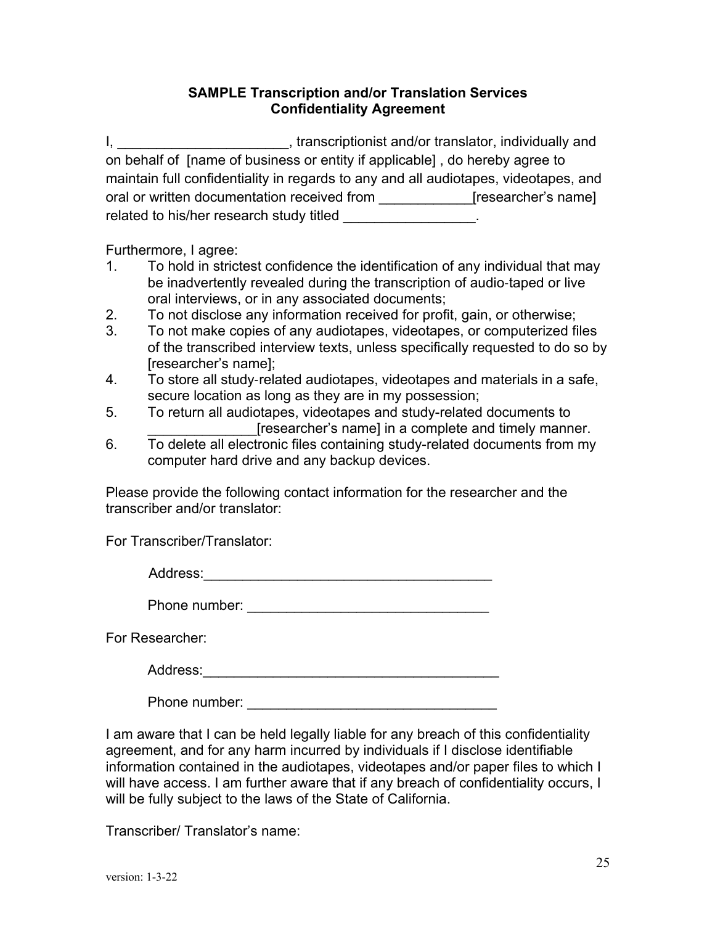## **SAMPLE Transcription and/or Translation Services Confidentiality Agreement**

I, transcriptionist and/or translator, individually and on behalf of [name of business or entity if applicable] , do hereby agree to maintain full confidentiality in regards to any and all audiotapes, videotapes, and oral or written documentation received from \_\_\_\_\_\_\_\_\_\_\_\_\_\_[researcher's name] related to his/her research study titled \_\_\_\_\_\_\_\_\_\_\_\_\_\_\_\_.

Furthermore, I agree:

- 1. To hold in strictest confidence the identification of any individual that may be inadvertently revealed during the transcription of audio-taped or live oral interviews, or in any associated documents;
- 2. To not disclose any information received for profit, gain, or otherwise;
- 3. To not make copies of any audiotapes, videotapes, or computerized files of the transcribed interview texts, unless specifically requested to do so by [researcher's name];
- 4. To store all study-related audiotapes, videotapes and materials in a safe, secure location as long as they are in my possession;
- 5. To return all audiotapes, videotapes and study-related documents to [researcher's name] in a complete and timely manner.
- 6. To delete all electronic files containing study-related documents from my computer hard drive and any backup devices.

Please provide the following contact information for the researcher and the transcriber and/or translator:

For Transcriber/Translator:

| Λ<br>lronor<br>-<br>--<br>. |  |  |
|-----------------------------|--|--|
|                             |  |  |

For Researcher:

Address: with the contract of the contract of the contract of the contract of the contract of the contract of the contract of the contract of the contract of the contract of the contract of the contract of the contract of

Phone number:  $\blacksquare$ 

I am aware that I can be held legally liable for any breach of this confidentiality agreement, and for any harm incurred by individuals if I disclose identifiable information contained in the audiotapes, videotapes and/or paper files to which I will have access. I am further aware that if any breach of confidentiality occurs, I will be fully subject to the laws of the State of California.

Transcriber/ Translator's name: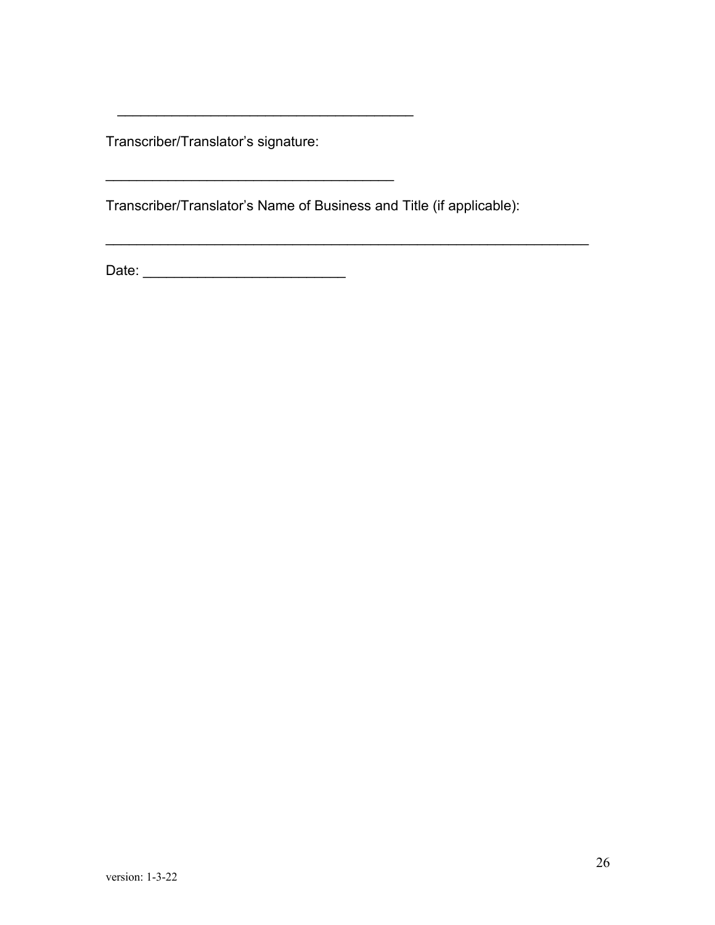Transcriber/Translator's signature:

Transcriber/Translator's Name of Business and Title (if applicable):

 $\mathcal{L}_\text{max} = \mathcal{L}_\text{max} = \mathcal{L}_\text{max} = \mathcal{L}_\text{max} = \mathcal{L}_\text{max} = \mathcal{L}_\text{max} = \mathcal{L}_\text{max} = \mathcal{L}_\text{max} = \mathcal{L}_\text{max} = \mathcal{L}_\text{max} = \mathcal{L}_\text{max} = \mathcal{L}_\text{max} = \mathcal{L}_\text{max} = \mathcal{L}_\text{max} = \mathcal{L}_\text{max} = \mathcal{L}_\text{max} = \mathcal{L}_\text{max} = \mathcal{L}_\text{max} = \mathcal{$ 

 $\overline{\phantom{a}}$ 

\_\_\_\_\_\_\_\_\_\_\_\_\_\_\_\_\_\_\_\_\_\_\_\_\_\_\_\_\_\_\_\_\_\_\_\_\_

Date: \_\_\_\_\_\_\_\_\_\_\_\_\_\_\_\_\_\_\_\_\_\_\_\_\_\_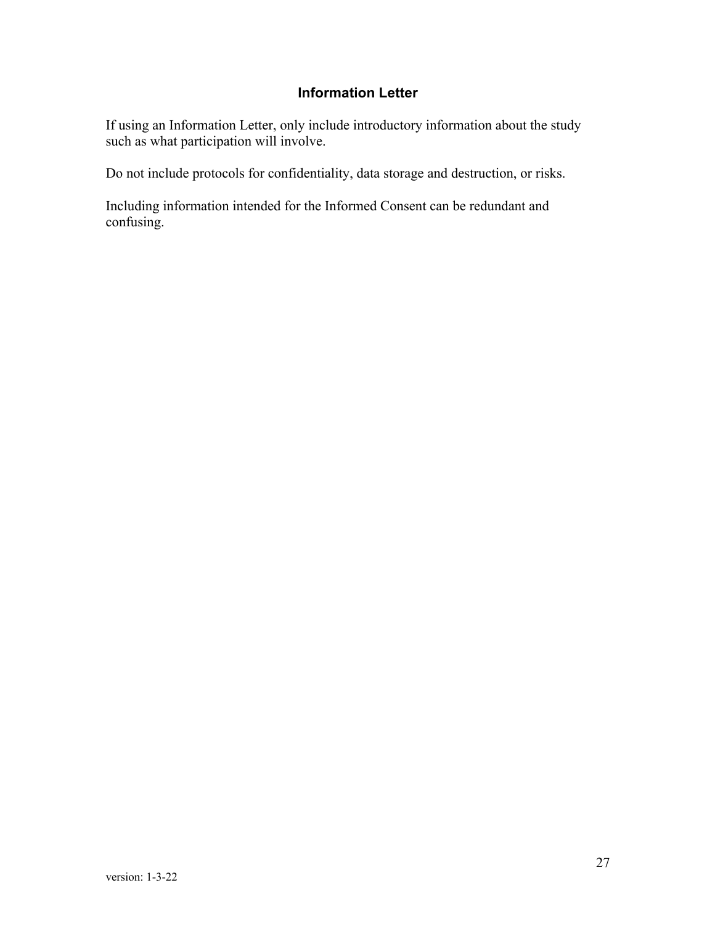### **Information Letter**

If using an Information Letter, only include introductory information about the study such as what participation will involve.

Do not include protocols for confidentiality, data storage and destruction, or risks.

Including information intended for the Informed Consent can be redundant and confusing.